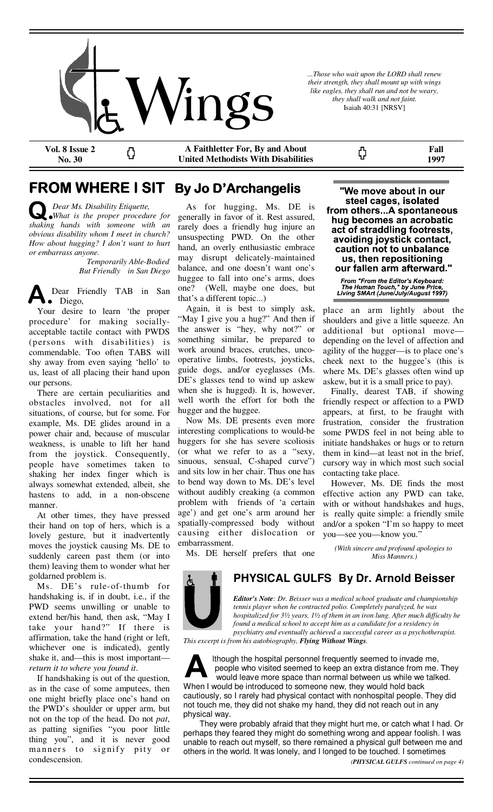

*...Those who wait upon the LORD shall renew their strength, they shall mount up with wings like eagles, they shall run and not be weary, they shall walk and not faint.*  Isaiah 40:31 [NRSV]

ς,

**Vol. 8 Issue 2 No. 30** 

**A Faithletter For, By and About United Methodists With Disabilities** 

**Fall 1997** 

# **FROM WHERE I SIT By Jo D'Archangelis**

*Dear Ms. Disability Etiquette, What is the proper procedure for shaking hands with someone with an obvious disability whom I meet in church? How about hugging? I don't want to hurt or embarrass anyone.* 

> *Temporarily Able-Bodied But Friendly in San Diego*

Ω

Dear Friendly TAB in San • Diego,

 Your desire to learn 'the proper procedure' for making sociallyacceptable tactile contact with PWDS (persons with disabilities) is commendable. Too often TABS will shy away from even saying 'hello' to us, least of all placing their hand upon our persons.

 There are certain peculiarities and obstacles involved, not for all situations, of course, but for some. For example, Ms. DE glides around in a power chair and, because of muscular weakness, is unable to lift her hand from the joystick. Consequently, people have sometimes taken to shaking her index finger which is always somewhat extended, albeit, she hastens to add, in a non-obscene manner.

 At other times, they have pressed their hand on top of hers, which is a lovely gesture, but it inadvertently moves the joystick causing Ms. DE to suddenly careen past them (or into them) leaving them to wonder what her goldarned problem is.

 Ms. DE's rule-of-thumb for handshaking is, if in doubt, i.e., if the PWD seems unwilling or unable to extend her/his hand, then ask, "May I take your hand?" If there is affirmation, take the hand (right or left, whichever one is indicated), gently shake it, and—this is most important *return it to where you found it*.

 If handshaking is out of the question, as in the case of some amputees, then one might briefly place one's hand on the PWD's shoulder or upper arm, but not on the top of the head. Do not *pat*, as patting signifies "you poor little thing you", and it is never good manners to signify pity or condescension.

 As for hugging, Ms. DE is generally in favor of it. Rest assured, rarely does a friendly hug injure an unsuspecting PWD. On the other hand, an overly enthusiastic embrace may disrupt delicately-maintained balance, and one doesn't want one's huggee to fall into one's arms, does one? (Well, maybe one does, but that's a different topic...)

 Again, it is best to simply ask, "May I give you a hug?" And then if the answer is "hey, why not?" or something similar, be prepared to work around braces, crutches, uncooperative limbs, footrests, joysticks, guide dogs, and/or eyeglasses (Ms. DE's glasses tend to wind up askew when she is hugged). It is, however, well worth the effort for both the hugger and the huggee.

 Now Ms. DE presents even more interesting complications to would-be huggers for she has severe scoliosis (or what we refer to as a "sexy, sinuous, sensual, C-shaped curve") and sits low in her chair. Thus one has to bend way down to Ms. DE's level without audibly creaking (a common problem with friends of 'a certain age') and get one's arm around her spatially-compressed body without causing either dislocation or embarrassment.

"We move about in our steel cages, isolated from others...A spontaneous hug becomes an acrobatic act of straddling footrests, avoiding joystick contact, caution not to unbalance us, then repositioning our fallen arm afterward."

From "From the Editor's Keyboard:<br>The Human Touch," by June Price,<br>Living SMArt (June/July/August 1997).

place an arm lightly about the shoulders and give a little squeeze. An additional but optional move depending on the level of affection and agility of the hugger—is to place one's cheek next to the huggee's (this is where Ms. DE's glasses often wind up askew, but it is a small price to pay).

 Finally, dearest TAB, if showing friendly respect or affection to a PWD appears, at first, to be fraught with frustration, consider the frustration some PWDS feel in not being able to initiate handshakes or hugs or to return them in kind—at least not in the brief, cursory way in which most such social contacting take place.

 However, Ms. DE finds the most effective action any PWD can take, with or without handshakes and hugs, is really quite simple: a friendly smile and/or a spoken "I'm so happy to meet you—see you—know you."

*(With sincere and profound apologies to Miss Manners.)*

Ms. DE herself prefers that one



**PHYSICAL GULFS By Dr. Arnold Beisser**

*Editor's Note: Dr. Beisser was a medical school graduate and championship tennis player when he contracted polio. Completely paralyzed, he was hospitalized for 3½ years, 1½ of them in an iron lung. After much difficulty he found a medical school to accept him as a candidate for a residency in psychiatry and eventually achieved a successful career as a psychotherapist.* 

*This excerpt is from his autobiography, Flying Without Wings.* 



lthough the hospital personnel frequently seemed to invade me, people who visited seemed to keep an extra distance from me. They would leave more space than normal between us while we talked. When I would be introduced to someone new, they would hold back cautiously, so I rarely had physical contact with nonhospital people. They did not touch me, they did not shake my hand, they did not reach out in any

physical way. They were probably afraid that they might hurt me, or catch what I had. Or perhaps they feared they might do something wrong and appear foolish. I was unable to reach out myself, so there remained a physical gulf between me and others in the world. It was lonely, and I longed to be touched. I sometimes *(PHYSICAL GULFS continued on page 4)*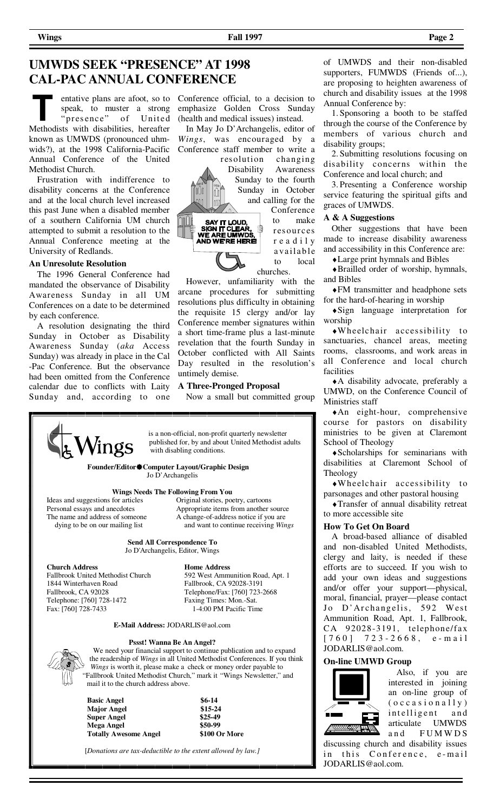## **UMWDS SEEK "PRESENCE" AT 1998 CAL-PAC ANNUAL CONFERENCE**

speak, to muster a strong 'presence" of United Methodists with disabilities, hereafter known as UMWDS (pronounced uhmwids?), at the 1998 California-Pacific Annual Conference of the United Methodist Church.

 Frustration with indifference to disability concerns at the Conference and at the local church level increased this past June when a disabled member of a southern California UM church attempted to submit a resolution to the Annual Conference meeting at the University of Redlands.

### **An Unresolute Resolution**

 The 1996 General Conference had mandated the observance of Disability Awareness Sunday in all UM Conferences on a date to be determined by each conference.

 A resolution designating the third Sunday in October as Disability Awareness Sunday (*aka* Access Sunday) was already in place in the Cal -Pac Conference. But the observance had been omitted from the Conference calendar due to conflicts with Laity Sunday and, according to one

entative plans are afoot, so to Conference official, to a decision to emphasize Golden Cross Sunday (health and medical issues) instead.

> In May Jo D'Archangelis, editor of *Wings*, was encouraged by a Conference staff member to write a resolution changing

Disability Awareness Sunday to the fourth Sunday in October and calling for the

浸

Conference to make res ources r e a d i l y a va ila b le to local churches.

 However, unfamiliarity with the arcane procedures for submitting resolutions plus difficulty in obtaining the requisite 15 clergy and/or lay Conference member signatures within a short time-frame plus a last-minute revelation that the fourth Sunday in October conflicted with All Saints Day resulted in the resolution's untimely demise.

#### **A Three-Pronged Proposal**

 is a non-official, non-profit quarterly newsletter published for, by and about United Methodist adults

Now a small but committed group



**Founder/EditorComputer Layout/Graphic Design**  Jo D'Archangelis

with disabling conditions.

Ideas and suggestions for articles<br>Personal essays and anecdotes

**Wings Needs The Following From You**<br>for articles **Original stories, poetry, cartoons** Personal essays and anecdotes Appropriate items from another source<br>The name and address of someone A change-of-address notice if you are A change-of-address notice if you are dying to be on our mailing list and want to continue receiving *Wings* 

> **Send All Correspondence To**  Jo D'Archangelis, Editor, Wings

**Church Address Home Address**<br>Fallbrook United Methodist Church 592 West Ammun Fallbrook United Methodist Church 592 West Ammunition Road, Apt. 1 1844 Winterhaven Road Fallbrook, CA 92028-3191<br>Fallbrook, CA 92028 Telephone/Fax: [760] 723-2 Telephone: [760] 728-1472<br>Fax: [760] 728-7433

Telephone/Fax: [760] 723-2668<br>Faxing Times: Mon.-Sat. 1-4:00 PM Pacific Time

#### **E-Mail Address:** JODARLIS@aol.com

#### **Pssst! Wanna Be An Angel?**

 We need your financial support to continue publication and to expand the readership of *Wings* in all United Methodist Conferences. If you think *Wings* is worth it, please make a check or money order payable to "Fallbrook United Methodist Church," mark it "Wings Newsletter," and mail it to the church address above.

 **Basic Angel \$6-14 Major Angel \$15-24 Super Angel Mega Angel \$50-99 Totally Awesome Angel \$100 Or More** 

[*Donations are tax-deductible to the extent allowed by law.]*

of UMWDS and their non-disabled supporters, FUMWDS (Friends of...), are proposing to heighten awareness of church and disability issues at the 1998 Annual Conference by:

 1. Sponsoring a booth to be staffed through the course of the Conference by members of various church and disability groups;

 2. Submitting resolutions focusing on disability concerns within the Conference and local church; and

 3. Presenting a Conference worship service featuring the spiritual gifts and graces of UMWDS.

#### **A & A Suggestions**

 Other suggestions that have been made to increase disability awareness and accessibility in this Conference are:

♦Large print hymnals and Bibles

♦Brailled order of worship, hymnals, and Bibles

♦FM transmitter and headphone sets for the hard-of-hearing in worship

♦Sign language interpretation for worship

♦Wheelchair accessibility to sanctuaries, chancel areas, meeting rooms, classrooms, and work areas in all Conference and local church facilities

♦A disability advocate, preferably a UMWD, on the Conference Council of Ministries staff

♦An eight-hour, comprehensive course for pastors on disability ministries to be given at Claremont School of Theology

♦Scholarships for seminarians with disabilities at Claremont School of Theology

♦Wheelchair accessibility to parsonages and other pastoral housing

♦Transfer of annual disability retreat to more accessible site

#### **How To Get On Board**

 A broad-based alliance of disabled and non-disabled United Methodists, clergy and laity, is needed if these efforts are to succeed. If you wish to add your own ideas and suggestions and/or offer your support—physical, moral, financial, prayer—please contact Jo D'Archangelis, 592 West Ammunition Road, Apt. 1, Fallbrook, CA 92028-3191, telephone/fax  $[760]$  723-2668, e-mail JODARLIS@aol.com.

### **On-line UMWD Group**



 Also, if you are interested in joining an on-line group of  $(occasionally)$ intelligent and articulate UMWDS and FUMWDS

discussing church and disability issues in this Conference, e-mail JODARLIS@aol.com.

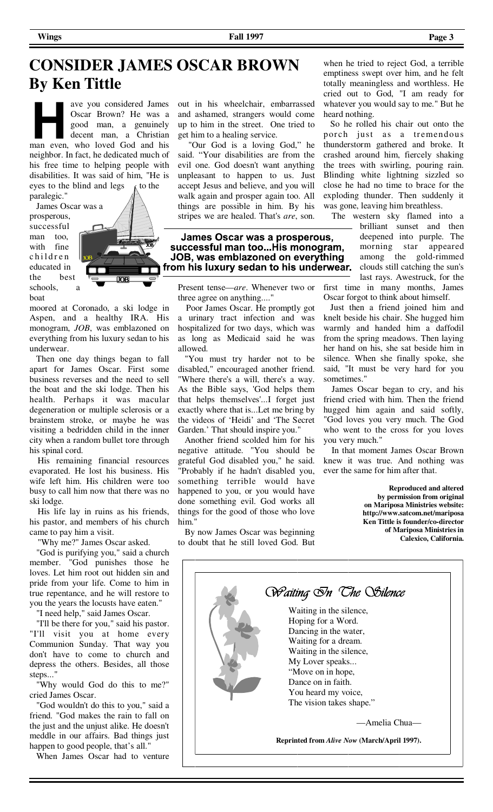# **CONSIDER JAMES OSCAR BROWN By Ken Tittle**

ave you considered James Oscar Brown? He was a good man, a genuinely decent man, a Christian man even, who loved God and his neighbor. In fact, he dedicated much of his free time to helping people with disabilities. It was said of him, "He is eyes to the blind and legs  $\kappa$  to the paralegic."

prosperous, successful man too, with fine children educated in the best schools, a boat



moored at Coronado, a ski lodge in Aspen, and a healthy IRA. His monogram, *JOB*, was emblazoned on everything from his luxury sedan to his underwear.

 Then one day things began to fall apart for James Oscar. First some business reverses and the need to sell the boat and the ski lodge. Then his health. Perhaps it was macular degeneration or multiple sclerosis or a brainstem stroke, or maybe he was visiting a bedridden child in the inner city when a random bullet tore through his spinal cord.

 His remaining financial resources evaporated. He lost his business. His wife left him. His children were too busy to call him now that there was no ski lodge.

 His life lay in ruins as his friends, his pastor, and members of his church came to pay him a visit.

"Why me?" James Oscar asked.

 "God is purifying you," said a church member. "God punishes those he loves. Let him root out hidden sin and pride from your life. Come to him in true repentance, and he will restore to you the years the locusts have eaten."

"I need help," said James Oscar.

 "I'll be there for you," said his pastor. "I'll visit you at home every Communion Sunday. That way you don't have to come to church and depress the others. Besides, all those steps..."

 "Why would God do this to me?" cried James Oscar.

 "God wouldn't do this to you," said a friend. "God makes the rain to fall on the just and the unjust alike. He doesn't meddle in our affairs. Bad things just happen to good people, that's all."

When James Oscar had to venture

out in his wheelchair, embarrassed and ashamed, strangers would come up to him in the street. One tried to get him to a healing service.

 "Our God is a loving God," he said. "Your disabilities are from the evil one. God doesn't want anything unpleasant to happen to us. Just accept Jesus and believe, and you will walk again and prosper again too. All things are possible in him. By his stripes we are healed. That's *are*, son.

James Oscar was a prosperous, successful man too...His monogram, JOB, was emblazoned on everything from his luxury sedan to his underwear.

Present tense—*are*. Whenever two or three agree on anything...."

 Poor James Oscar. He promptly got a urinary tract infection and was hospitalized for two days, which was as long as Medicaid said he was allowed.

 "You must try harder not to be disabled," encouraged another friend. "Where there's a will, there's a way. As the Bible says, 'God helps them that helps themselves'...I forget just exactly where that is...Let me bring by the videos of 'Heidi' and 'The Secret Garden.' That should inspire you."

 Another friend scolded him for his negative attitude. "You should be grateful God disabled you," he said. "Probably if he hadn't disabled you, something terrible would have happened to you, or you would have done something evil. God works all things for the good of those who love him."

 By now James Oscar was beginning to doubt that he still loved God. But

when he tried to reject God, a terrible emptiness swept over him, and he felt totally meaningless and worthless. He cried out to God, "I am ready for whatever you would say to me." But he heard nothing.

 So he rolled his chair out onto the porch just as a tremendous thunderstorm gathered and broke. It crashed around him, fiercely shaking the trees with swirling, pouring rain. Blinding white lightning sizzled so close he had no time to brace for the exploding thunder. Then suddenly it was gone, leaving him breathless.

 The western sky flamed into a brilliant sunset and then deepened into purple. The morning star appeared among the gold-rimmed clouds still catching the sun's last rays. Awestruck, for the

first time in many months, James Oscar forgot to think about himself.

 Just then a friend joined him and knelt beside his chair. She hugged him warmly and handed him a daffodil from the spring meadows. Then laying her hand on his, she sat beside him in silence. When she finally spoke, she said, "It must be very hard for you sometimes."

 James Oscar began to cry, and his friend cried with him. Then the friend hugged him again and said softly, "God loves you very much. The God who went to the cross for you loves you very much."

 In that moment James Oscar Brown knew it was true. And nothing was ever the same for him after that.

> **Reproduced and altered by permission from original on Mariposa Ministries website: http://www.satcom.net/mariposa Ken Tittle is founder/co-director of Mariposa Ministries in Calexico, California.**